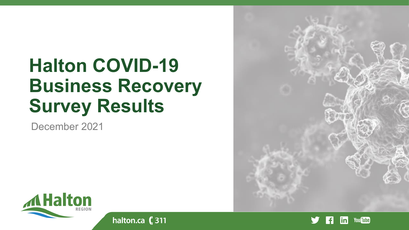# **Halton COVID-19 Business Recovery Survey Results**

halton.ca (311

December 2021





**You Tube** ın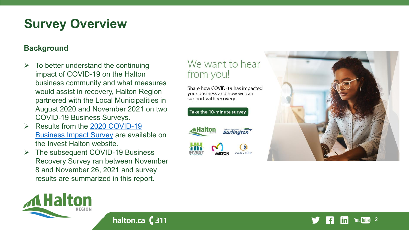## **Survey Overview**

### **Background**

**MHalton** 

- To better understand the continuing impact of COVID-19 on the Halton business community and what measures would assist in recovery, Halton Region partnered with the Local Municipalities in August 2020 and November 2021 on two COVID-19 Business Surveys.
- [Results from the 2020 COVID-19](https://www.halton.ca/Repository/COVID-19-Business-Impact-Survey-Results) Business Impact Survey are available on the Invest Halton website.
- The subsequent COVID-19 Business Recovery Survey ran between November 8 and November 26, 2021 and survey results are summarized in this report.

halton.ca (311

### We want to hear from you!

Share how COViD-19 has impacted your business and how we can support with recovery.



Take the 10-minute survey



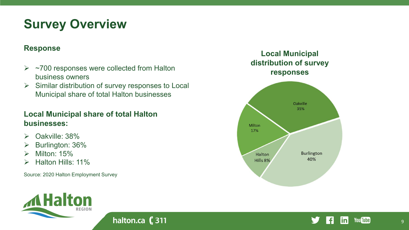## **Survey Overview**

#### **Response**

- $\triangleright$  ~700 responses were collected from Halton business owners
- $\triangleright$  Similar distribution of survey responses to Local Municipal share of total Halton businesses

halton.ca (311

### **Local Municipal share of total Halton businesses:**

- $\triangleright$  Oakville: 38%
- Burlington: 36%
- $\triangleright$  Milton: 15%
- Halton Hills: 11%

Source: 2020 Halton Employment Survey





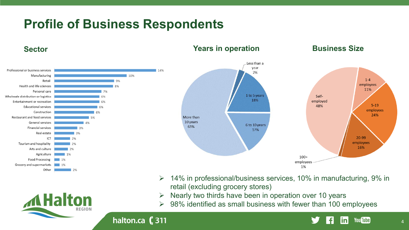## **Profile of Business Respondents**

halton.ca (311

**AHalton** 

REGION



retail (excluding grocery stores)

 $\geq$  14% in professional/business services, 10% in manufacturing, 9% in

 $\geq$  98% identified as small business with fewer than 100 employees

 $\triangleright$  Nearly two thirds have been in operation over 10 years



**You Tube** 

in.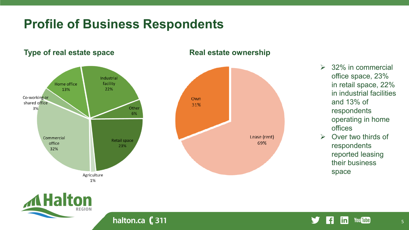### **Profile of Business Respondents**

#### Industrial facility Home office 22% 13% Co-working or Own shared office 31% Other  $3%$ 6% Lease (rent) Commercial Retail space 69% office 23% 32% Agriculture 1%

### **Type of real estate space <b>Real estate ownership**

- $\geq$  32% in commercial office space, 23% in retail space, 22% in industrial facilities and 13% of respondents operating in home offices
- $\triangleright$  Over two thirds of respondents reported leasing their business space

5



halton.ca (311

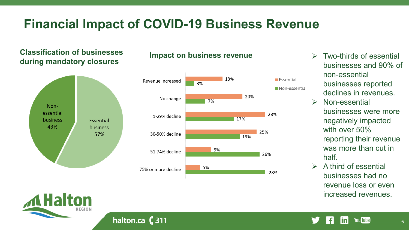## **Financial Impact of COVID-19 Business Revenue**

### **Classification of businesses during mandatory closures**



#### **Impact on business revenue**  $\rightarrow$  Two-thirds of essential



- businesses and 90% of non-essential businesses reported declines in revenues.
- $\triangleright$  Non-essential businesses were more negatively impacted with over 50% reporting their revenue was more than cut in half.
- A third of essential businesses had no revenue loss or even increased revenues.



halton.ca (311

#### **You Tube** inl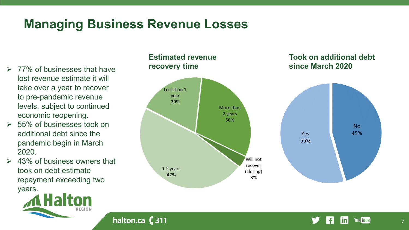## **Managing Business Revenue Losses**

halton.ca $(311)$ 

- **since March 2020** 77% of businesses that have lost revenue estimate it will take over a year to recover to pre-pandemic revenue levels, subject to continued economic reopening.
- $\geq$  55% of businesses took on additional debt since the pandemic begin in March 2020.
- $\geq 43\%$  of business owners that took on debt estimate repayment exceeding two years.



### **Estimated revenue recovery time**



#### **You Tube** inl

**Took on additional debt**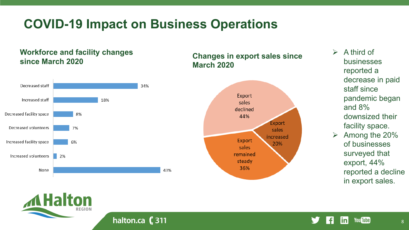### **COVID-19 Impact on Business Operations**

### **Workforce and facility changes since March 2020**



halton.ca (311

### **Changes in export sales since March 2020**

- $\triangleright$  A third of businesses reported a decrease in paid staff since pandemic began and 8% downsized their facility space.
- $\triangleright$  Among the 20% of businesses surveyed that export, 44% reported a decline in export sales.

**You Tube** 

linl

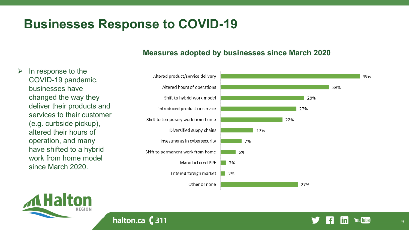### **Businesses Response to COVID-19**

halton.ca $(311)$ 

#### **Measures adopted by businesses since March 2020**

 $\triangleright$  In response to the COVID-19 pandemic, businesses have changed the way they deliver their products and services to their customer (e.g. curbside pickup), altered their hours of operation, and many have shifted to a hybrid work from home model since March 2020.







**You Tube**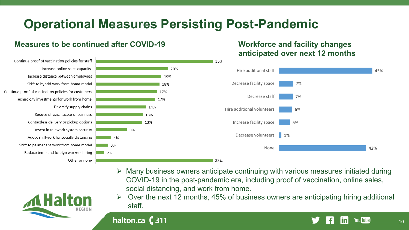## **Operational Measures Persisting Post-Pandemic**

#### **Measures to be continued after COVID-19**

Continue proof of vaccination policies for staff

Continue proof of vaccination policies for customers

Technology investments for work from home

Increase online sales capacity

Diversify supply chains

Other or none

halton.ca $($ 311

Increase distance between employees

Shift to hybrid work from home model

Reduce physical space of business

Invest in telework system security

Contactless delivery or pickup options

Adopt shiftwork for socially distancing

Shift to permanent work from home model

Reduce temp and foreign workers hiring

### **Workforce and facility changes anticipated over next 12 months**



- $\triangleright$  Many business owners anticipate continuing with various measures initiated during COVID-19 in the post-pandemic era, including proof of vaccination, online sales, social distancing, and work from home.
- Over the next 12 months, 45% of business owners are anticipating hiring additional staff.

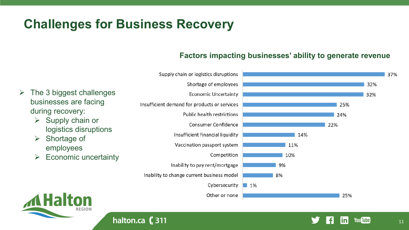## **Challenges for Business Recovery**

halton.ca $(311)$ 

### **Factors impacting businesses' ability to generate revenue**

11

**You Tube** 

in



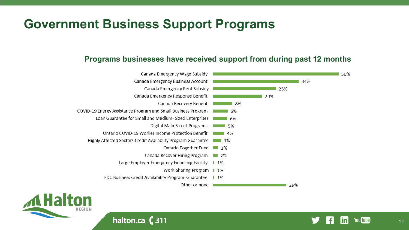### **Government Business Support Programs**

### **Programs businesses have received support from during past 12 months**





halton.ca (311

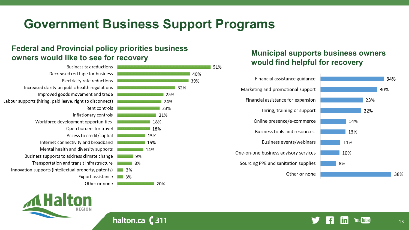## **Government Business Support Programs**

51%

### **Federal and Provincial policy priorities business owners would like to see for recovery Municipal supports business owners**

|                 | <b>Business tax reductions</b>                            |
|-----------------|-----------------------------------------------------------|
|                 | Decreased red tape for business                           |
|                 | Electricity rate reductions                               |
|                 | Increased clarity on public health regulations            |
|                 | Improved goods movement and trade                         |
|                 | Labour supports (hiring, paid leave, right to disconnect) |
|                 | Rent controls                                             |
|                 | Inflationary controls                                     |
|                 | Workforce development opportunities                       |
|                 | Open borders for travel                                   |
| 15              | Access to credit/captial                                  |
| 15              | Internet connectivity and broadband                       |
| 14 <sup>o</sup> | Mental health and diversity supports                      |
| 9%              | Business supports to address climate change               |
| 8%              | Transportation and transit infrastructure                 |
| 3%              | Innovation supports (intellectual property, patents)      |
| 3%              | Export assistance                                         |
|                 | Other or none                                             |





halton.ca (311

# **would find helpful for recovery**



**You Tube** ın